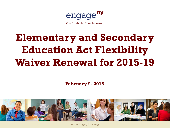

Our Students. Their Moment.

# **Elementary and Secondary Education Act Flexibility Waiver Renewal for 2015-19**

**February 9, 2015** 



www.engageNY.org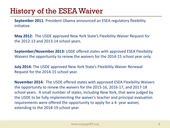# History of the ESEA Waiver

**September 2011**: President Obama announced an ESEA regulatory flexibility initiative.

**May 2012:** The USDE approved New York State's Flexibility Waiver Request for the 2012-13 and 2013-14 school years.

**September/November 2013:** USDE offered states with approved ESEA Flexibility Waivers the opportunity to renew the waivers for the 2014-15 school year only.

**July 2014:** The USDE approved New York State's Flexibility Waiver Renewal Request for the 2014-15 school year.

**November 2014:** The USDE offered states with approved ESEA Flexibility Waivers the opportunity to renew the waivers for the 2015-16, 2016-17, and 2017-18 school years. A small number of states, including New York, that were judged by the USDE to be fully implementing the waiver's teacher and principal evaluation requirements were offered the opportunity to apply for a 4- year waiver, extending to the 2018-19 school year.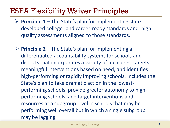# ESEA Flexibility Waiver Principles

- **Principle 1 –** The State's plan for implementing statedeveloped college- and career-ready standards and highquality assessments aligned to those standards.
- **Principle 2 –** The State's plan for implementing a differentiated accountability systems for schools and districts that incorporates a variety of measures, targets meaningful interventions based on need, and identifies high-performing or rapidly improving schools. Includes the State's plan to take dramatic action in the lowestperforming schools, provide greater autonomy to highperforming schools, and target interventions and resources at a subgroup level in schools that may be performing well overall but in which a single subgroup may be lagging.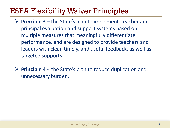# ESEA Flexibility Waiver Principles

- **Principle 3 –** the State's plan to implement teacher and principal evaluation and support systems based on multiple measures that meaningfully differentiate performance, and are designed to provide teachers and leaders with clear, timely, and useful feedback, as well as targeted supports.
- **Principle 4** the State's plan to reduce duplication and unnecessary burden.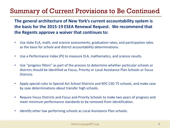### Summary of Current Provisions to Be Continued

**The general architecture of New York's current accountability system is the basis for the 2015-19 ESEA Renewal Request. We recommend that the Regents approve a waiver that continues to:**

- Use state ELA, math, and science assessments; graduation rates; and participation rates as the basis for school and district accountability determinations.
- Use a Performance Index (PI) to measure ELA, mathematics, and science results.
- Use "progress filters" as part of the process to determine whether particular schools or districts should be identified as Focus, Priority or Local Assistance Plan Schools or Focus Districts.
- Apply special rules to Special Act School Districts and NYC CSD 75 schools, and make case by case determinations about transfer high schools.
- Require Focus Districts and Focus and Priority Schools to make two years of progress and meet minimum performance standards to be removed from identification.
- Identify other low performing schools as Local Assistance Plan schools.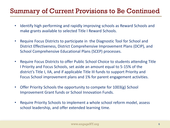### Summary of Current Provisions to Be Continued

- Identify high performing and rapidly improving schools as Reward Schools and make grants available to selected Title I Reward Schools.
- Require Focus Districts to participate in the Diagnostic Tool for School and District Effectiveness, District Comprehensive Improvement Plans (DCIP), and School Comprehensive Educational Plans (SCEP) processes.
- Require Focus Districts to offer Public School Choice to students attending Title I Priority and Focus Schools, set aside an amount equal to 5-15% of the district's Title I, IIA, and if applicable Title III funds to support Priority and Focus School improvement plans and 1% for parent engagement activities.
- Offer Priority Schools the opportunity to compete for 1003(g) School Improvement Grant funds or School Innovation Funds.
- Require Priority Schools to implement a whole school reform model, assess school leadership, and offer extended learning time.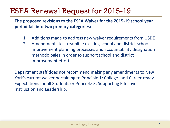## ESEA Renewal Request for 2015-19

**The proposed revisions to the ESEA Waiver for the 2015-19 school year period fall into two primary categories:** 

- 1. Additions made to address new waiver requirements from USDE
- 2. Amendments to streamline existing school and district school improvement planning processes and accountability designation methodologies in order to support school and district improvement efforts.

Department staff does not recommend making any amendments to New York's current waiver pertaining to Principle 1: College- and Career-ready Expectations for all Students or Principle 3: Supporting Effective Instruction and Leadership.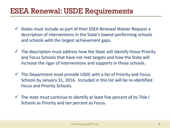### ESEA Renewal: USDE Requirements

- $\checkmark$  States must include as part of their ESEA Renewal Waiver Request a description of interventions in the State's lowest-performing schools and schools with the largest achievement gaps.
- $\checkmark$  The description must address how the State will identify those Priority and Focus Schools that have not met targets and how the State will increase the rigor of interventions and supports in those schools.
- $\checkmark$  The Department must provide USDE with a list of Priority and Focus Schools by January 31, 2016. Included in this list will be re-identified Focus and Priority Schools.
- $\checkmark$  The state must continue to identify at least five percent of its Title I Schools as Priority and ten percent as Focus.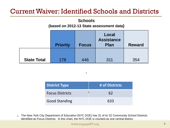#### Current Waiver: Identified Schools and Districts

#### **Schools**

#### **(based on 2012-13 State assessment data)**

|                    | <b>Priority</b> | <b>Focus</b> | Local<br><b>Assistance</b><br><b>Plan</b> | <b>Reward</b> |
|--------------------|-----------------|--------------|-------------------------------------------|---------------|
|                    |                 |              |                                           |               |
| <b>State Total</b> | 178             | 446          | 311                                       | 354           |

| <b>District Type</b>   | # of Districts |
|------------------------|----------------|
| <b>Focus Districts</b> | 62             |
| <b>Good Standing</b>   | 633            |

**.**

1 The New York City Department of Education (NYC DOE) has 31 of its 32 Community School Districts identified as Focus Districts. In this chart, the NYC DOE is counted as one central district.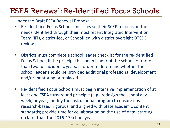# ESEA Renewal: Re-Identified Focus Schools

Under the Draft ESEA Renewal Proposal:

- Re-identified Focus Schools must revise their SCEP to focus on the needs identified through their most recent Integrated Intervention Team (IIT), district-led, or School-led with district oversight DTSDE reviews.
- Districts must complete a school leader checklist for the re-identified Focus School, if the principal has been leader of the school for more than two full academic years, in order to determine whether the school leader should be provided additional professional development and/or mentoring or replaced.
- Re-identified Focus Schools must begin intensive implementation of at least one ESEA turnaround principle (e.g., redesign the school day, week, or year; modify the instructional program to ensure it is research-based, rigorous, and aligned with State academic content standards; provide time for collaboration on the use of data) starting no later than the 2016-17 school year.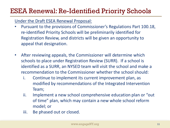### ESEA Renewal: Re-Identified Priority Schools

Under the Draft ESEA Renewal Proposal:

- Pursuant to the provisions of Commissioner's Regulations Part 100.18, re-identified Priority Schools will be preliminarily identified for Registration Review, and districts will be given an opportunity to appeal that designation.
- After reviewing appeals, the Commissioner will determine which schools to place under Registration Review (SURR). If a school is identified as a SURR, an NYSED team will visit the school and make a recommendation to the Commissioner whether the school should:
	- i. Continue to implement its current improvement plan, as modified by recommendations of the Integrated Intervention Team;
	- ii. Implement a new school comprehensive education plan or "out of time" plan, which may contain a new whole school reform model; or
	- iii. Be phased out or closed.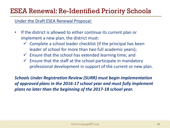### ESEA Renewal: Re-Identified Priority Schools

Under the Draft ESEA Renewal Proposal:

- If the district is allowed to either continue its current plan or implement a new plan, the district must:
	- $\checkmark$  Complete a school leader checklist (if the principal has been leader of school for more than two full academic years);
	- $\checkmark$  Ensure that the school has extended learning time; and
	- $\checkmark$  Ensure that the staff at the school participate in mandatory professional development in support of the current or new plan.

*Schools Under Registration Review (SURR) must begin implementation of approved plans in the 2016-17 school year and must fully implement plans no later than the beginning of the 2017-18 school year.*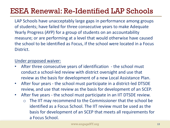# ESEA Renewal: Re-Identified LAP Schools

LAP Schools have unacceptably large gaps in performance among groups of students; have failed for three consecutive years to make Adequate Yearly Progress (AYP) for a group of students on an accountability measure; or are performing at a level that would otherwise have caused the school to be identified as Focus, if the school were located in a Focus District.

#### Under proposed waiver:

- After three consecutive years of identification the school must conduct a school-led review with district oversight and use that review as the basis for development of a new Local Assistance Plan.
- After four years the school must participate in a district-led DTSDE review, and use that review as the basis for development of an SCEP.
- After five years the school must participate in an IIT DTSDE review.
	- o The IIT may recommend to the Commissioner that the school be identified as a Focus School. The IIT review must be used as the basis for development of an SCEP that meets all requirements for a Focus School.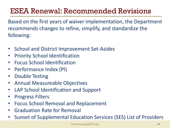# ESEA Renewal: Recommended Revisions

Based on the first years of waiver implementation, the Department recommends changes to refine, simplify, and standardize the following:

- School and District Improvement Set-Asides
- Priority School Identification
- Focus School Identification
- Performance Index (PI)
- Double Testing
- Annual Measureable Objectives
- LAP School Identification and Support
- Progress Filters
- Focus School Removal and Replacement
- Graduation Rate for Removal
- Sunset of Supplemental Education Services (SES) List of Providers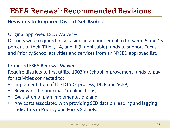## ESEA Renewal: Recommended Revisions

#### **Revisions to Required District Set-Asides**

#### Original approved ESEA Waiver –

Districts were required to set aside an amount equal to between 5 and 15 percent of their Title I, IIA, and III (if applicable) funds to support Focus and Priority School activities and services from an NYSED approved list.

#### Proposed ESEA Renewal Waiver –

Require districts to first utilize 1003(a) School Improvement funds to pay for activities connected to:

- Implementation of the DTSDE process, DCIP and SCEP;
- Review of the principals' qualifications;
- Evaluation of plan implementation; and
- Any costs associated with providing SED data on leading and lagging indicators in Priority and Focus Schools.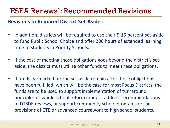### ESEA Renewal: Recommended Revisions

#### **Revisions to Required District Set-Asides**

- In addition, districts will be required to use their 5-15 percent set-aside to fund Public School Choice and offer 200 hours of extended learning time to students in Priority Schools.
- If the cost of meeting those obligations goes beyond the district's setaside, the district must utilize other funds to meet these obligations.
- If funds earmarked for the set-aside remain after these obligations have been fulfilled, which will be the case for most Focus Districts, the funds are to be used to support implementation of turnaround principles or whole school reform models, address recommendations of DTSDE reviews, or support community school programs or the provisions of CTE or advanced coursework to high school students.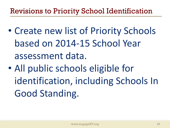# Revisions to Priority School Identification

- Create new list of Priority Schools based on 2014-15 School Year assessment data.
- All public schools eligible for identification, including Schools In Good Standing.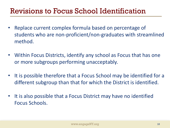# Revisions to Focus School Identification

- Replace current complex formula based on percentage of students who are non-proficient/non-graduates with streamlined method.
- Within Focus Districts, identify any school as Focus that has one or more subgroups performing unacceptably.
- It is possible therefore that a Focus School may be identified for a different subgroup than that for which the District is identified.
- It is also possible that a Focus District may have no identified Focus Schools.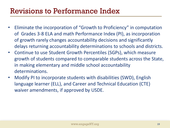# Revisions to Performance Index

- Eliminate the incorporation of "Growth to Proficiency" in computation of Grades 3-8 ELA and math Performance Index (PI), as incorporation of growth rarely changes accountability decisions and significantly delays returning accountability determinations to schools and districts.
- Continue to use Student Growth Percentiles (SGPs), which measure growth of students compared to comparable students across the State, in making elementary and middle school accountability determinations.
- Modify PI to incorporate students with disabilities (SWD), English language learner (ELL), and Career and Technical Education (CTE) waiver amendments, if approved by USDE.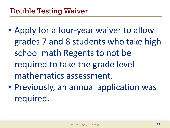- Apply for a four-year waiver to allow grades 7 and 8 students who take high school math Regents to not be required to take the grade level mathematics assessment.
- Previously, an annual application was required.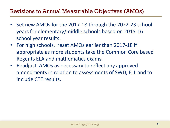#### Revisions to Annual Measurable Objectives (AMOs)

- Set new AMOs for the 2017-18 through the 2022-23 school years for elementary/middle schools based on 2015-16 school year results.
- For high schools, reset AMOs earlier than 2017-18 if appropriate as more students take the Common Core based Regents ELA and mathematics exams.
- Readjust AMOs as necessary to reflect any approved amendments in relation to assessments of SWD, ELL and to include CTE results.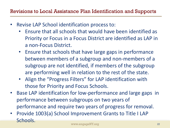- Revise LAP School identification process to:
	- Ensure that all schools that would have been identified as Priority or Focus in a Focus District are identified as LAP in a non-Focus District.
	- Ensure that schools that have large gaps in performance between members of a subgroup and non-members of a subgroup are not identified, if members of the subgroup are performing well in relation to the rest of the state.
	- Align the "Progress Filters" for LAP identification with those for Priority and Focus Schools.
- Base LAP identification for low-performance and large gaps in performance between subgroups on two years of performance and require two years of progress for removal.
- Provide 1003(a) School Improvement Grants to Title I LAP Schools.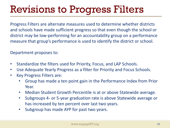# Revisions to Progress Filters

Progress Filters are alternate measures used to determine whether districts and schools have made sufficient progress so that even though the school or district may be low-performing for an accountability group on a performance measure that group's performance is used to identify the district or school.

Department proposes to:

- Standardize the filters used for Priority, Focus, and LAP Schools.
- Use Adequate Yearly Progress as a filter for Priority and Focus Schools.
- Key Progress Filters are:
	- Group has made a ten point gain in the Performance Index from Prior Year.
	- Median Student Growth Percentile is at or above Statewide average.
	- Subgroups 4- or 5-year graduation rate is above Statewide average or has increased by ten percent over last two years.
	- Subgroup has made AYP for past two years.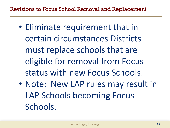- Eliminate requirement that in certain circumstances Districts must replace schools that are eligible for removal from Focus status with new Focus Schools.
- Note: New LAP rules may result in LAP Schools becoming Focus Schools.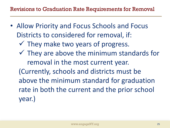- Allow Priority and Focus Schools and Focus Districts to considered for removal, if:
	- $\checkmark$  They make two years of progress.
	- $\checkmark$  They are above the minimum standards for removal in the most current year.
	- (Currently, schools and districts must be above the minimum standard for graduation rate in both the current and the prior school year.)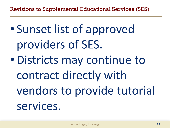Revisions to Supplemental Educational Services (SES)

• Sunset list of approved providers of SES. •Districts may continue to contract directly with vendors to provide tutorial

services.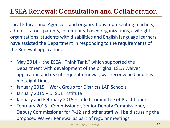#### ESEA Renewal: Consultation and Collaboration

Local Educational Agencies, and organizations representing teachers, administrators, parents, community-based organizations, civil rights organizations, students with disabilities and English language learners have assisted the Department in responding to the requirements of the Renewal application.

- May 2014 the ESEA "Think Tank," which supported the Department with development of the original ESEA Waiver application and its subsequent renewal, was reconvened and has met eight times.
- January 2015 Work Group for Districts LAP Schools
- January 2015 DTSDE Institute
- January and February 2015 Title I Committee of Practitioners
- February 2015 Commissioner, Senior Deputy Commissioner, Deputy Commissioner for P-12 and other staff will be discussing the proposed Waiver Renewal as part of regular meetings.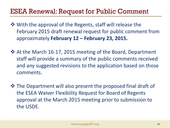#### ESEA Renewal: Request for Public Comment

- $\dots$  **With the approval of the Regents, staff will release the** February 2015 draft renewal request for public comment from approximately **February 12 – February 23, 2015.**
- At the March 16-17, 2015 meeting of the Board, Department staff will provide a summary of the public comments received and any suggested revisions to the application based on those comments.
- The Department will also present the proposed final draft of the ESEA Waiver Flexibility Request for Board of Regents approval at the March 2015 meeting prior to submission to the USDE.